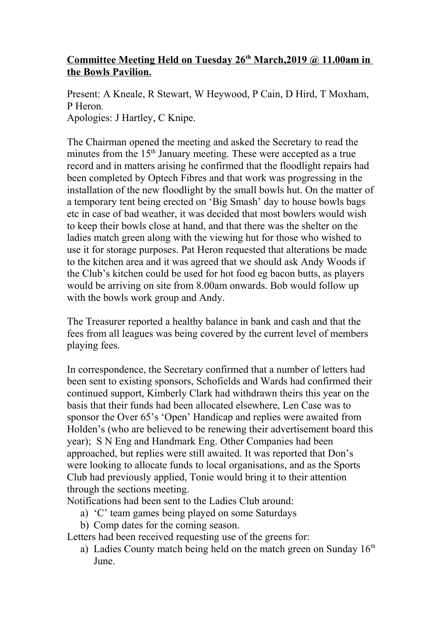## **Committee Meeting Held on Tuesday 26th March,2019 @ 11.00am in the Bowls Pavilion.**

Present: A Kneale, R Stewart, W Heywood, P Cain, D Hird, T Moxham, P Heron. Apologies: J Hartley, C Knipe.

The Chairman opened the meeting and asked the Secretary to read the minutes from the 15<sup>th</sup> January meeting. These were accepted as a true record and in matters arising he confirmed that the floodlight repairs had been completed by Optech Fibres and that work was progressing in the installation of the new floodlight by the small bowls hut. On the matter of a temporary tent being erected on 'Big Smash' day to house bowls bags etc in case of bad weather, it was decided that most bowlers would wish to keep their bowls close at hand, and that there was the shelter on the ladies match green along with the viewing hut for those who wished to use it for storage purposes. Pat Heron requested that alterations be made to the kitchen area and it was agreed that we should ask Andy Woods if the Club's kitchen could be used for hot food eg bacon butts, as players would be arriving on site from 8.00am onwards. Bob would follow up with the bowls work group and Andy.

The Treasurer reported a healthy balance in bank and cash and that the fees from all leagues was being covered by the current level of members playing fees.

In correspondence, the Secretary confirmed that a number of letters had been sent to existing sponsors, Schofields and Wards had confirmed their continued support, Kimberly Clark had withdrawn theirs this year on the basis that their funds had been allocated elsewhere, Len Case was to sponsor the Over 65's 'Open' Handicap and replies were awaited from Holden's (who are believed to be renewing their advertisement board this year); S N Eng and Handmark Eng. Other Companies had been approached, but replies were still awaited. It was reported that Don's were looking to allocate funds to local organisations, and as the Sports Club had previously applied, Tonie would bring it to their attention through the sections meeting.

Notifications had been sent to the Ladies Club around:

- a) 'C' team games being played on some Saturdays
- b) Comp dates for the coming season.

Letters had been received requesting use of the greens for:

a) Ladies County match being held on the match green on Sunday  $16<sup>th</sup>$ June.